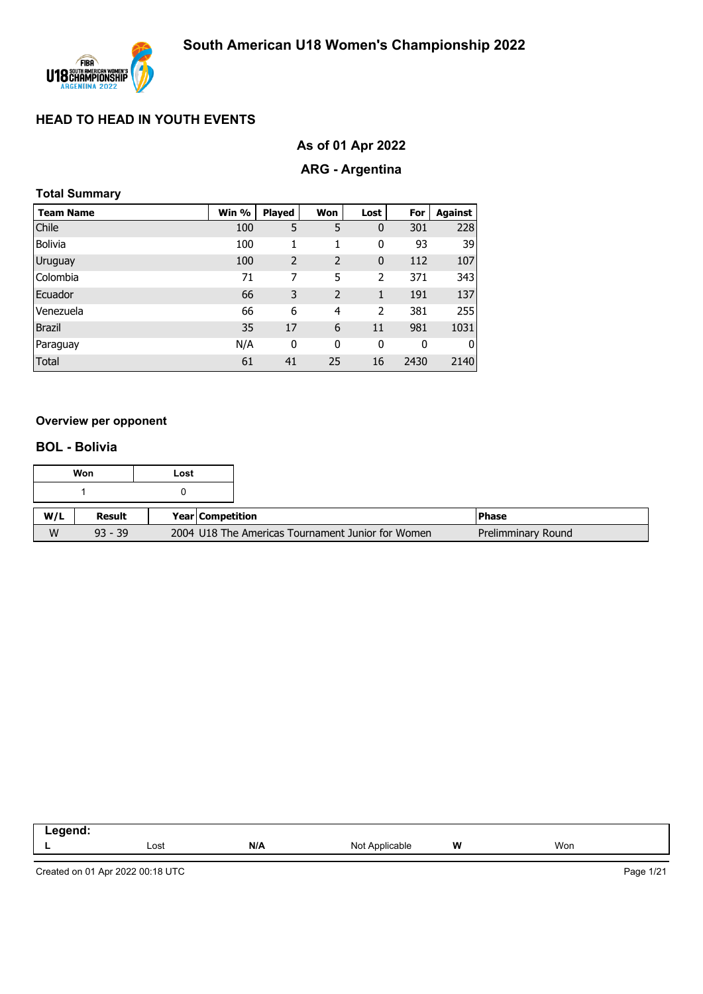

# **As of 01 Apr 2022**

# **ARG - Argentina**

|  | <b>Total Summary</b> |
|--|----------------------|
|--|----------------------|

| <b>Team Name</b> | Win % | <b>Played</b>  | Won                      | Lost | For  | Against |
|------------------|-------|----------------|--------------------------|------|------|---------|
| <b>Chile</b>     | 100   | 5              | 5                        | 0    | 301  | 228     |
| <b>Bolivia</b>   | 100   | 1              | 1                        | 0    | 93   | 39      |
| Uruguay          | 100   | $\overline{2}$ | $\overline{2}$           | 0    | 112  | 107     |
| Colombia         | 71    | 7              | 5                        | 2    | 371  | 343     |
| Ecuador          | 66    | 3              | $\overline{\phantom{0}}$ | 1    | 191  | 137     |
| Venezuela        | 66    | 6              | 4                        | 2    | 381  | 255     |
| <b>Brazil</b>    | 35    | 17             | 6                        | 11   | 981  | 1031    |
| Paraguay         | N/A   | 0              | 0                        | 0    | 0    | 0       |
| Total            | 61    | 41             | 25                       | 16   | 2430 | 2140    |

#### **Overview per opponent**

#### **BOL - Bolivia**

|     | Won       | Lost |                    |                                                   |                    |
|-----|-----------|------|--------------------|---------------------------------------------------|--------------------|
|     |           |      |                    |                                                   |                    |
| W/L | Result    |      | Year   Competition |                                                   | l Phase            |
| W   | $93 - 39$ |      |                    | 2004 U18 The Americas Tournament Junior for Women | Prelimminary Round |

| .<br>- - - |      |     |                               |   |     |  |
|------------|------|-----|-------------------------------|---|-----|--|
| . .        | Lost | N/A | able<br>- Nic<br>Anr<br>, וער | W | Won |  |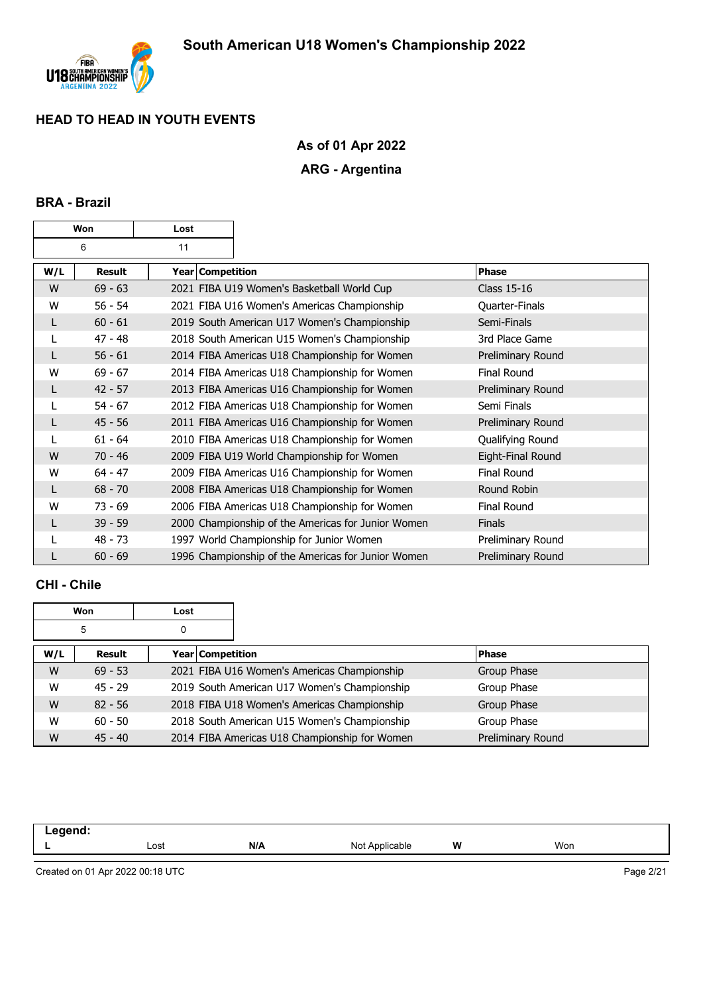

# **As of 01 Apr 2022**

# **ARG - Argentina**

#### **BRA - Brazil**

| Won |           | Lost             |                                                    |                    |
|-----|-----------|------------------|----------------------------------------------------|--------------------|
|     | 6         | 11               |                                                    |                    |
| W/L | Result    | Year Competition |                                                    | Phase              |
| W   | $69 - 63$ |                  | 2021 FIBA U19 Women's Basketball World Cup         | <b>Class 15-16</b> |
| W   | $56 - 54$ |                  | 2021 FIBA U16 Women's Americas Championship        | Quarter-Finals     |
| L   | $60 - 61$ |                  | 2019 South American U17 Women's Championship       | Semi-Finals        |
|     | $47 - 48$ |                  | 2018 South American U15 Women's Championship       | 3rd Place Game     |
| L   | $56 - 61$ |                  | 2014 FIBA Americas U18 Championship for Women      | Preliminary Round  |
| W   | $69 - 67$ |                  | 2014 FIBA Americas U18 Championship for Women      | <b>Final Round</b> |
| L   | $42 - 57$ |                  | 2013 FIBA Americas U16 Championship for Women      | Preliminary Round  |
| L   | $54 - 67$ |                  | 2012 FIBA Americas U18 Championship for Women      | Semi Finals        |
| L   | $45 - 56$ |                  | 2011 FIBA Americas U16 Championship for Women      | Preliminary Round  |
|     | $61 - 64$ |                  | 2010 FIBA Americas U18 Championship for Women      | Qualifying Round   |
| W   | $70 - 46$ |                  | 2009 FIBA U19 World Championship for Women         | Eight-Final Round  |
| W   | $64 - 47$ |                  | 2009 FIBA Americas U16 Championship for Women      | <b>Final Round</b> |
| L   | $68 - 70$ |                  | 2008 FIBA Americas U18 Championship for Women      | Round Robin        |
| W   | $73 - 69$ |                  | 2006 FIBA Americas U18 Championship for Women      | <b>Final Round</b> |
|     | $39 - 59$ |                  | 2000 Championship of the Americas for Junior Women | <b>Finals</b>      |
|     | $48 - 73$ |                  | 1997 World Championship for Junior Women           | Preliminary Round  |
|     | $60 - 69$ |                  | 1996 Championship of the Americas for Junior Women | Preliminary Round  |

#### **CHI - Chile**

|     | Won       | Lost             |                                               |                   |
|-----|-----------|------------------|-----------------------------------------------|-------------------|
|     | 5         | 0                |                                               |                   |
| W/L | Result    | Year Competition |                                               | <b>Phase</b>      |
| W   | $69 - 53$ |                  | 2021 FIBA U16 Women's Americas Championship   | Group Phase       |
| W   | $45 - 29$ |                  | 2019 South American U17 Women's Championship  | Group Phase       |
| W   | $82 - 56$ |                  | 2018 FIBA U18 Women's Americas Championship   | Group Phase       |
| W   | $60 - 50$ |                  | 2018 South American U15 Women's Championship  | Group Phase       |
| W   | $45 - 40$ |                  | 2014 FIBA Americas U18 Championship for Women | Preliminary Round |

| ----<br>. |      |     |                                              |   |     |  |
|-----------|------|-----|----------------------------------------------|---|-----|--|
|           | Lost | N/A | Nl∩t<br>Applicable<br>$\cdots$<br>. <u>.</u> | W | Won |  |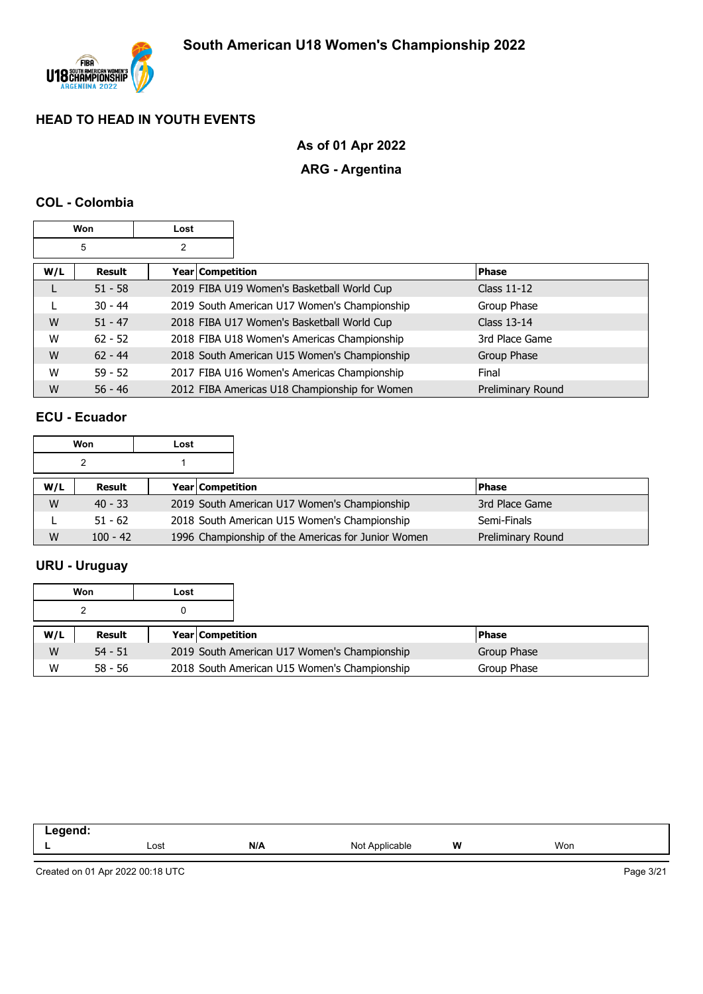

# **As of 01 Apr 2022**

# **ARG - Argentina**

#### **COL - Colombia**

|     | Won       | Lost               |                                               |                    |
|-----|-----------|--------------------|-----------------------------------------------|--------------------|
|     | 5         | 2                  |                                               |                    |
| W/L | Result    | Year   Competition |                                               | <b>Phase</b>       |
|     | $51 - 58$ |                    | 2019 FIBA U19 Women's Basketball World Cup    | Class $11-12$      |
|     | $30 - 44$ |                    | 2019 South American U17 Women's Championship  | Group Phase        |
| W   | $51 - 47$ |                    | 2018 FIBA U17 Women's Basketball World Cup    | <b>Class 13-14</b> |
| W   | $62 - 52$ |                    | 2018 FIBA U18 Women's Americas Championship   | 3rd Place Game     |
| W   | $62 - 44$ |                    | 2018 South American U15 Women's Championship  | Group Phase        |
| W   | $59 - 52$ |                    | 2017 FIBA U16 Women's Americas Championship   | Final              |
| W   | $56 - 46$ |                    | 2012 FIBA Americas U18 Championship for Women | Preliminary Round  |

#### **ECU - Ecuador**

|     | Won        | Lost |                                                    |                   |
|-----|------------|------|----------------------------------------------------|-------------------|
|     |            |      |                                                    |                   |
| W/L | Result     |      | Year Competition                                   | <b>Phase</b>      |
| W   | $40 - 33$  |      | 2019 South American U17 Women's Championship       | 3rd Place Game    |
|     | $51 - 62$  |      | 2018 South American U15 Women's Championship       | Semi-Finals       |
| W   | $100 - 42$ |      | 1996 Championship of the Americas for Junior Women | Preliminary Round |

# **URU - Uruguay**

|     | Won       | Lost |                                              |              |
|-----|-----------|------|----------------------------------------------|--------------|
|     |           |      |                                              |              |
| W/L | Result    |      | <b>Year Competition</b>                      | <b>Phase</b> |
| W   | $54 - 51$ |      | 2019 South American U17 Women's Championship | Group Phase  |
| W   | $58 - 56$ |      | 2018 South American U15 Women's Championship | Group Phase  |

| ------<br>- 1 |      |     |                    |   |     |  |
|---------------|------|-----|--------------------|---|-----|--|
|               | ∟ost | N/A | Not<br>`Applicable | W | Won |  |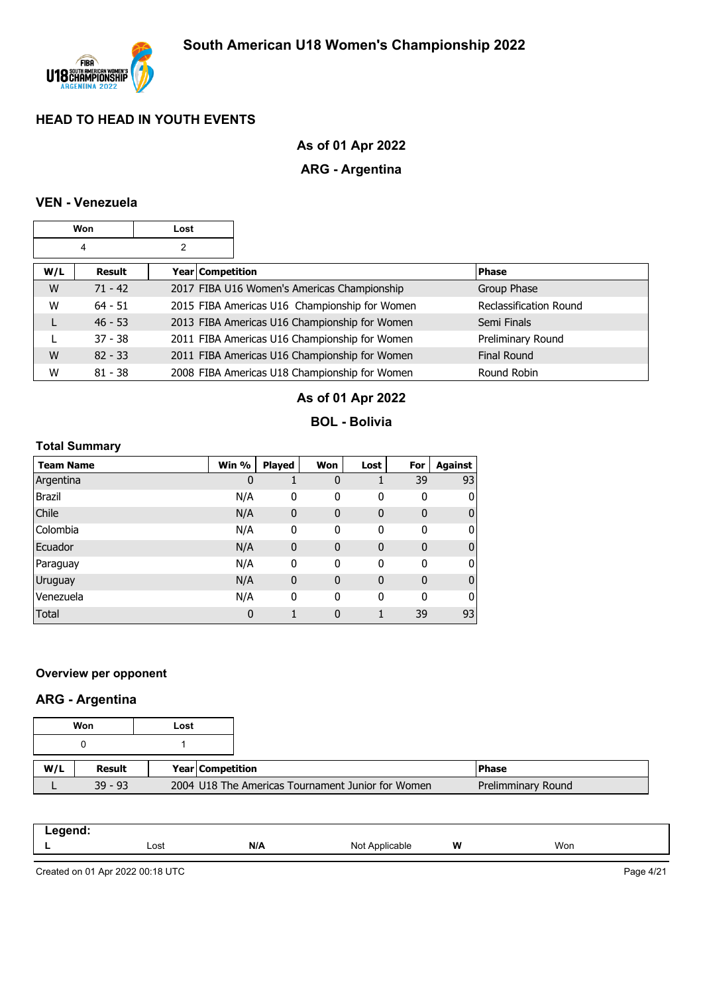

# **As of 01 Apr 2022**

# **ARG - Argentina**

#### **VEN - Venezuela**

|     | Won       | Lost |                  |                                               |                               |
|-----|-----------|------|------------------|-----------------------------------------------|-------------------------------|
|     | 4         | 2    |                  |                                               |                               |
| W/L | Result    |      | Year Competition |                                               | <b>Phase</b>                  |
| W   | $71 - 42$ |      |                  | 2017 FIBA U16 Women's Americas Championship   | Group Phase                   |
| W   | $64 - 51$ |      |                  | 2015 FIBA Americas U16 Championship for Women | <b>Reclassification Round</b> |
| L   | $46 - 53$ |      |                  | 2013 FIBA Americas U16 Championship for Women | Semi Finals                   |
|     | $37 - 38$ |      |                  | 2011 FIBA Americas U16 Championship for Women | Preliminary Round             |
| W   | $82 - 33$ |      |                  | 2011 FIBA Americas U16 Championship for Women | <b>Final Round</b>            |
| W   | $81 - 38$ |      |                  | 2008 FIBA Americas U18 Championship for Women | Round Robin                   |

# **As of 01 Apr 2022**

#### **BOL - Bolivia**

#### **Total Summary**

| Team Name     | Win % | <b>Played</b> | Won          | Lost         | For         | <b>Against</b> |
|---------------|-------|---------------|--------------|--------------|-------------|----------------|
| Argentina     | 0     |               | 0            |              | 39          | 93             |
| <b>Brazil</b> | N/A   | 0             | 0            | 0            | 0           | 0              |
| Chile         | N/A   | 0             | 0            | $\mathbf 0$  | $\mathbf 0$ | 0              |
| Colombia      | N/A   | 0             | 0            | 0            | 0           | 0              |
| Ecuador       | N/A   | $\mathbf 0$   | 0            | $\mathbf{0}$ | $\mathbf 0$ | 0              |
| Paraguay      | N/A   | 0             | 0            | 0            | 0           | 0              |
| Uruguay       | N/A   | $\mathbf 0$   | $\mathbf{0}$ | $\mathbf 0$  | $\mathbf 0$ | 0              |
| Venezuela     | N/A   | 0             | 0            | 0            | 0           | 0              |
| <b>Total</b>  | 0     |               | 0            |              | 39          | 93             |

#### **Overview per opponent**

# **ARG - Argentina**

|     | Won       | Lost |                                                   |                    |
|-----|-----------|------|---------------------------------------------------|--------------------|
|     |           |      |                                                   |                    |
| W/L | Result    |      | <b>Year Competition</b>                           | <b>Phase</b>       |
|     | $39 - 93$ |      | 2004 U18 The Americas Tournament Junior for Women | Prelimminary Round |

| — 1<br>. .<br>__ |      |     |                   |   |     |
|------------------|------|-----|-------------------|---|-----|
|                  | Lost | N/A | Not<br>Applicable | W | Won |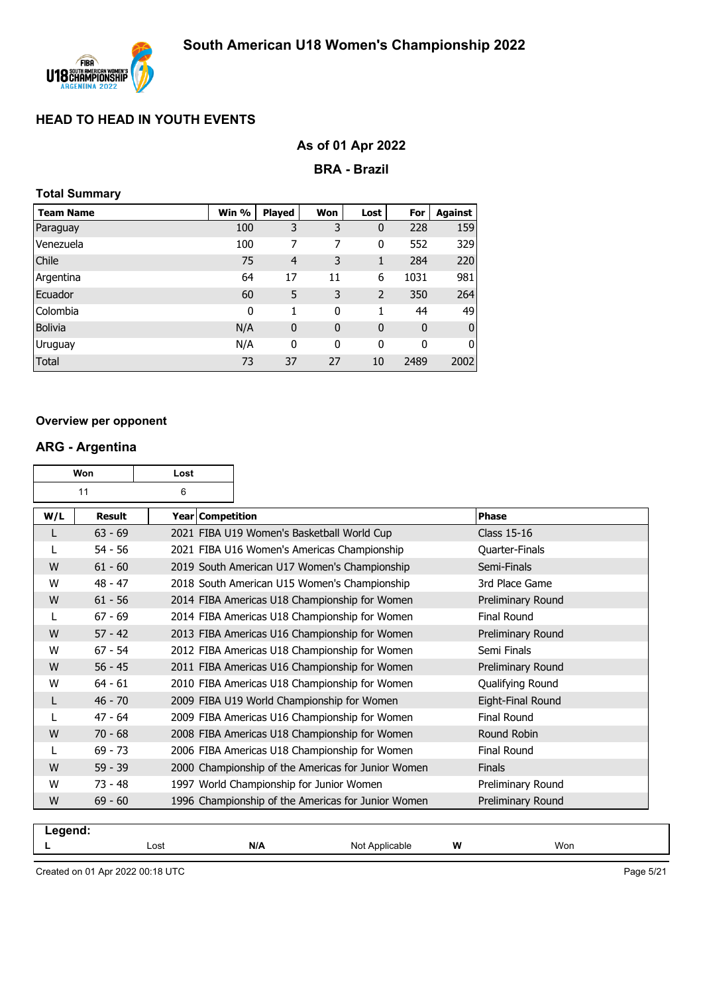

# **As of 01 Apr 2022**

#### **BRA - Brazil**

| <b>Total Summary</b> |       |                |             |              |             |                |
|----------------------|-------|----------------|-------------|--------------|-------------|----------------|
| <b>Team Name</b>     | Win % | <b>Played</b>  | Won         | Lost         | For         | <b>Against</b> |
| Paraguay             | 100   | 3              | 3           | $\mathbf 0$  | 228         | 159            |
| Venezuela            | 100   | 7              | 7           | 0            | 552         | 329            |
| Chile                | 75    | $\overline{4}$ | 3           | 1            | 284         | 220            |
| Argentina            | 64    | 17             | 11          | 6            | 1031        | 981            |
| Ecuador              | 60    | 5              | 3           | 2            | 350         | 264            |
| Colombia             | 0     | 1              | 0           | 1            | 44          | 49             |
| <b>Bolivia</b>       | N/A   | $\mathbf 0$    | $\mathbf 0$ | $\mathbf{0}$ | $\mathbf 0$ | O              |
| Uruguay              | N/A   | 0              | 0           | 0            | 0           | 0              |
| Total                | 73    | 37             | 27          | 10           | 2489        | 2002           |

#### **Overview per opponent**

#### **ARG - Argentina**

| Won<br>Lost |               |                         |                                                    |                    |
|-------------|---------------|-------------------------|----------------------------------------------------|--------------------|
|             | 11            | 6                       |                                                    |                    |
| W/L         | <b>Result</b> | <b>Year Competition</b> |                                                    | <b>Phase</b>       |
|             | $63 - 69$     |                         | 2021 FIBA U19 Women's Basketball World Cup         | <b>Class 15-16</b> |
|             | $54 - 56$     |                         | 2021 FIBA U16 Women's Americas Championship        | Quarter-Finals     |
| W           | $61 - 60$     |                         | 2019 South American U17 Women's Championship       | Semi-Finals        |
| W           | $48 - 47$     |                         | 2018 South American U15 Women's Championship       | 3rd Place Game     |
| W           | $61 - 56$     |                         | 2014 FIBA Americas U18 Championship for Women      | Preliminary Round  |
| L           | $67 - 69$     |                         | 2014 FIBA Americas U18 Championship for Women      | <b>Final Round</b> |
| W           | $57 - 42$     |                         | 2013 FIBA Americas U16 Championship for Women      | Preliminary Round  |
| W           | $67 - 54$     |                         | 2012 FIBA Americas U18 Championship for Women      | Semi Finals        |
| W           | $56 - 45$     |                         | 2011 FIBA Americas U16 Championship for Women      | Preliminary Round  |
| W           | $64 - 61$     |                         | 2010 FIBA Americas U18 Championship for Women      | Qualifying Round   |
| L           | $46 - 70$     |                         | 2009 FIBA U19 World Championship for Women         | Eight-Final Round  |
|             | $47 - 64$     |                         | 2009 FIBA Americas U16 Championship for Women      | <b>Final Round</b> |
| W           | $70 - 68$     |                         | 2008 FIBA Americas U18 Championship for Women      | Round Robin        |
| L           | $69 - 73$     |                         | 2006 FIBA Americas U18 Championship for Women      | Final Round        |
| W           | $59 - 39$     |                         | 2000 Championship of the Americas for Junior Women | <b>Finals</b>      |
| W           | $73 - 48$     |                         | 1997 World Championship for Junior Women           | Preliminary Round  |
| W           | $69 - 60$     |                         | 1996 Championship of the Americas for Junior Women | Preliminary Round  |
|             |               |                         |                                                    |                    |

| -- 3 |     |    |                      |     |  |
|------|-----|----|----------------------|-----|--|
| Lost | N/A | No | W<br>רונ<br>able<br> | Won |  |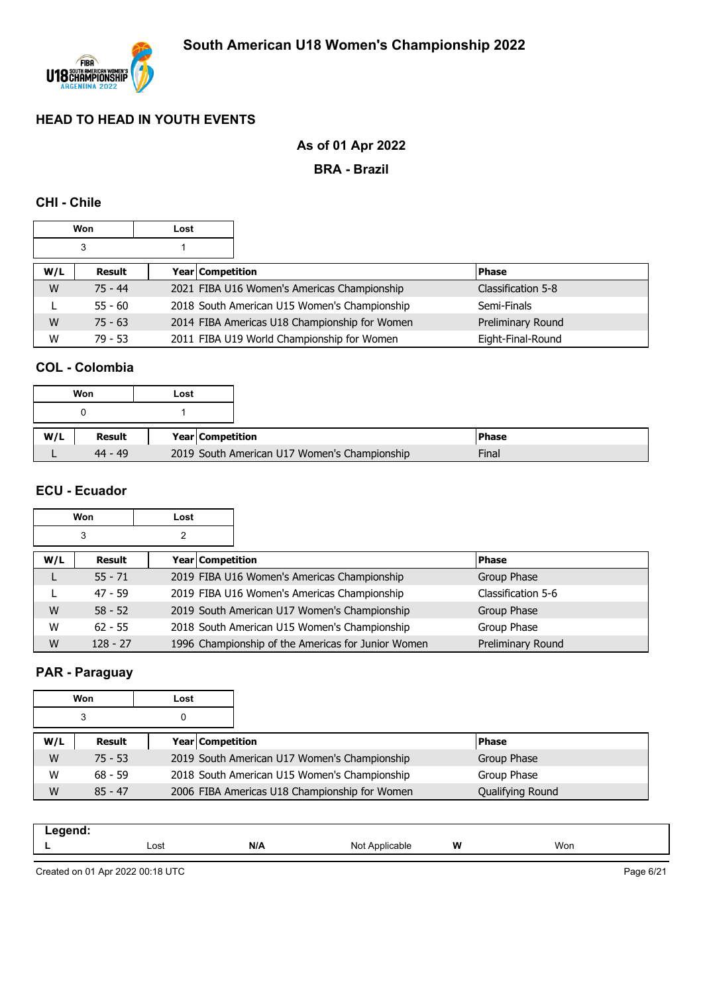

# **As of 01 Apr 2022**

**BRA - Brazil**

#### **CHI - Chile**

|     | <b>Won</b> | Lost |                  |                                               |  |                    |
|-----|------------|------|------------------|-----------------------------------------------|--|--------------------|
|     | 3          |      |                  |                                               |  |                    |
| W/L | Result     |      | Year Competition |                                               |  | <b>Phase</b>       |
| W   | $75 - 44$  |      |                  | 2021 FIBA U16 Women's Americas Championship   |  | Classification 5-8 |
|     | $55 - 60$  |      |                  | 2018 South American U15 Women's Championship  |  | Semi-Finals        |
| W   | $75 - 63$  |      |                  | 2014 FIBA Americas U18 Championship for Women |  | Preliminary Round  |
| W   | $79 - 53$  |      |                  | 2011 FIBA U19 World Championship for Women    |  | Eight-Final-Round  |

#### **COL - Colombia**

|     | Won       | Lost |                                              |
|-----|-----------|------|----------------------------------------------|
|     |           |      |                                              |
|     |           |      |                                              |
| W/L | Result    |      | Year Competition                             |
|     | $44 - 49$ |      | 2019 South American U17 Women's Championship |

### **ECU - Ecuador**

|        | Won        | Lost |                  |                                                    |                    |
|--------|------------|------|------------------|----------------------------------------------------|--------------------|
| 3<br>2 |            |      |                  |                                                    |                    |
| W/L    | Result     |      | Year Competition |                                                    | <b>Phase</b>       |
|        | $55 - 71$  |      |                  | 2019 FIBA U16 Women's Americas Championship        | Group Phase        |
|        | $47 - 59$  |      |                  | 2019 FIBA U16 Women's Americas Championship        | Classification 5-6 |
| W      | $58 - 52$  |      |                  | 2019 South American U17 Women's Championship       | Group Phase        |
| W      | $62 - 55$  |      |                  | 2018 South American U15 Women's Championship       | Group Phase        |
| W      | $128 - 27$ |      |                  | 1996 Championship of the Americas for Junior Women | Preliminary Round  |

# **PAR - Paraguay**

|     | Won       | Lost             |                                               |                  |
|-----|-----------|------------------|-----------------------------------------------|------------------|
|     | 3         |                  |                                               |                  |
| W/L | Result    | Year Competition |                                               | <b>Phase</b>     |
| W   | $75 - 53$ |                  | 2019 South American U17 Women's Championship  | Group Phase      |
| W   | $68 - 59$ |                  | 2018 South American U15 Women's Championship  | Group Phase      |
| W   | $85 - 47$ |                  | 2006 FIBA Americas U18 Championship for Women | Qualifying Round |

| .    |     |                                 |   |     |  |
|------|-----|---------------------------------|---|-----|--|
| Lost | N/A | Not<br><b>Ar</b><br>`oplicable_ | W | Won |  |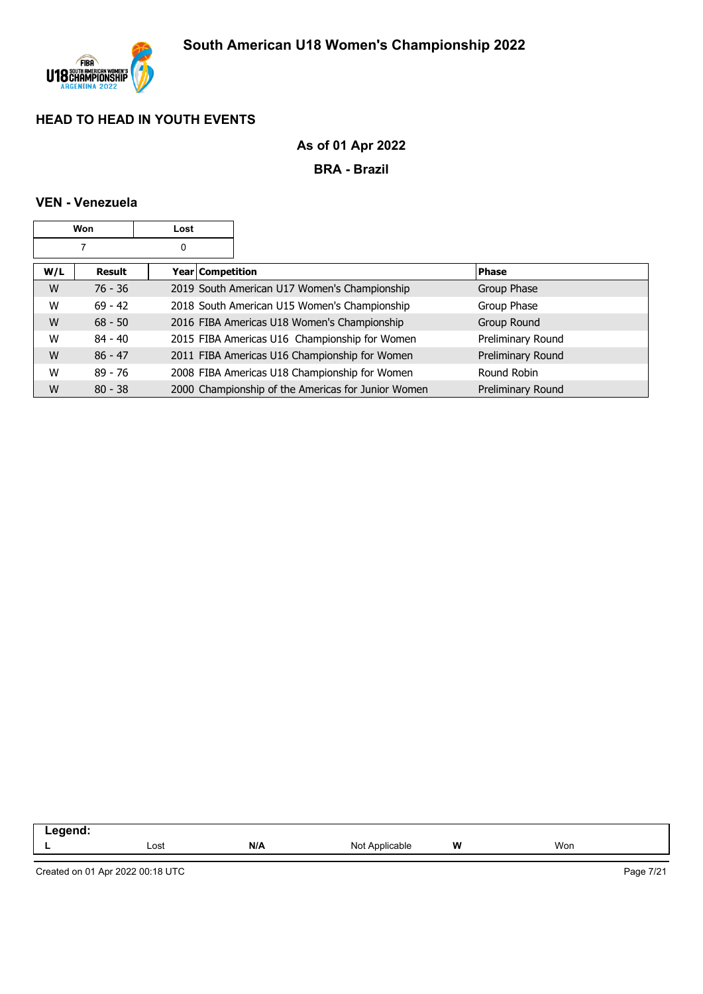

# **As of 01 Apr 2022**

**BRA - Brazil**

#### **VEN - Venezuela**

| Won<br>Lost |           |  |                    |                                                    |                   |
|-------------|-----------|--|--------------------|----------------------------------------------------|-------------------|
| 0           |           |  |                    |                                                    |                   |
| W/L         | Result    |  | Year   Competition |                                                    | <b>Phase</b>      |
| W           | $76 - 36$ |  |                    | 2019 South American U17 Women's Championship       | Group Phase       |
| W           | $69 - 42$ |  |                    | 2018 South American U15 Women's Championship       | Group Phase       |
| W           | $68 - 50$ |  |                    | 2016 FIBA Americas U18 Women's Championship        | Group Round       |
| W           | $84 - 40$ |  |                    | 2015 FIBA Americas U16 Championship for Women      | Preliminary Round |
| W           | $86 - 47$ |  |                    | 2011 FIBA Americas U16 Championship for Women      | Preliminary Round |
| W           | $89 - 76$ |  |                    | 2008 FIBA Americas U18 Championship for Women      | Round Robin       |
| W           | $80 - 38$ |  |                    | 2000 Championship of the Americas for Junior Women | Preliminary Round |

| eaend<br>.<br>the contract of the contract of<br>_____ |      |     |                     |           |     |
|--------------------------------------------------------|------|-----|---------------------|-----------|-----|
|                                                        | Lost | N/A | . Applicable<br>Not | W<br>$ -$ | Won |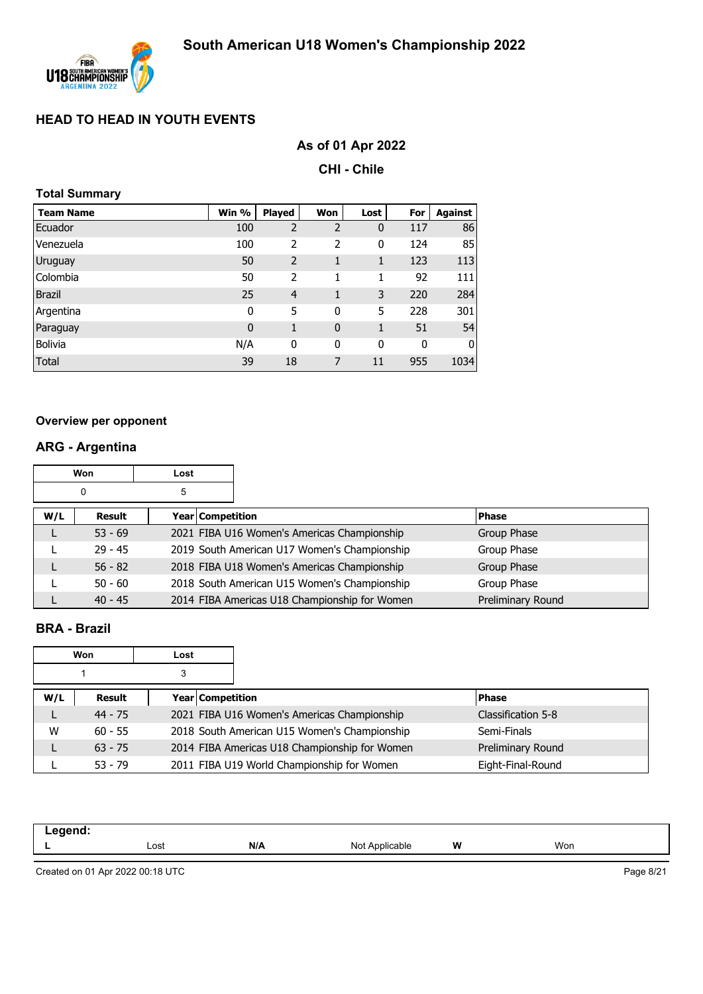

# **As of 01 Apr 2022**

**CHI - Chile**

| <b>Total Summary</b> |              |                |                |             |             |                |  |  |  |  |  |
|----------------------|--------------|----------------|----------------|-------------|-------------|----------------|--|--|--|--|--|
| <b>Team Name</b>     | Win %        | <b>Played</b>  | Won            | Lost        | For         | <b>Against</b> |  |  |  |  |  |
| Ecuador              | 100          | $\overline{2}$ | $\overline{2}$ | 0           | 117         | 86             |  |  |  |  |  |
| Venezuela            | 100          | 2              | 2              | $\mathbf 0$ | 124         | 85             |  |  |  |  |  |
| Uruguay              | 50           | 2              | 1              | 1           | 123         | 113            |  |  |  |  |  |
| Colombia             | 50           | 2              | 1              | 1           | 92          | 111            |  |  |  |  |  |
| <b>Brazil</b>        | 25           | $\overline{4}$ | 1              | 3           | 220         | 284            |  |  |  |  |  |
| Argentina            | $\mathbf 0$  | 5              | 0              | 5           | 228         | 301            |  |  |  |  |  |
| Paraguay             | $\mathbf{0}$ | $\mathbf{1}$   | $\mathbf{0}$   | 1           | 51          | 54             |  |  |  |  |  |
| <b>Bolivia</b>       | N/A          | $\mathbf{0}$   | 0              | $\mathbf 0$ | $\mathbf 0$ | 0              |  |  |  |  |  |
| Total                | 39           | 18             | 7              | 11          | 955         | 1034           |  |  |  |  |  |
|                      |              |                |                |             |             |                |  |  |  |  |  |

#### **Overview per opponent**

# **ARG - Argentina**

|     | Won       | Lost                    |                                               |                   |
|-----|-----------|-------------------------|-----------------------------------------------|-------------------|
|     | 0         | 5                       |                                               |                   |
| W/L | Result    | <b>Year Competition</b> |                                               | <b>Phase</b>      |
|     | $53 - 69$ |                         | 2021 FIBA U16 Women's Americas Championship   | Group Phase       |
|     | $29 - 45$ |                         | 2019 South American U17 Women's Championship  | Group Phase       |
|     | $56 - 82$ |                         | 2018 FIBA U18 Women's Americas Championship   | Group Phase       |
|     | $50 - 60$ |                         | 2018 South American U15 Women's Championship  | Group Phase       |
|     | $40 - 45$ |                         | 2014 FIBA Americas U18 Championship for Women | Preliminary Round |

#### **BRA - Brazil**

|     | Won       | Lost |                  |                                               |                    |
|-----|-----------|------|------------------|-----------------------------------------------|--------------------|
|     |           |      |                  |                                               |                    |
| W/L | Result    |      | Year Competition |                                               | <b>Phase</b>       |
|     | $44 - 75$ |      |                  | 2021 FIBA U16 Women's Americas Championship   | Classification 5-8 |
| W   | $60 - 55$ |      |                  | 2018 South American U15 Women's Championship  | Semi-Finals        |
|     | $63 - 75$ |      |                  | 2014 FIBA Americas U18 Championship for Women | Preliminary Round  |
|     | $53 - 79$ |      |                  | 2011 FIBA U19 World Championship for Women    | Eight-Final-Round  |

| .<br>____ |      |     |                                 |   |     |
|-----------|------|-----|---------------------------------|---|-----|
| -         | Lost | N/A | Not<br>$n_{\rm nr}$<br>licable. | W | Won |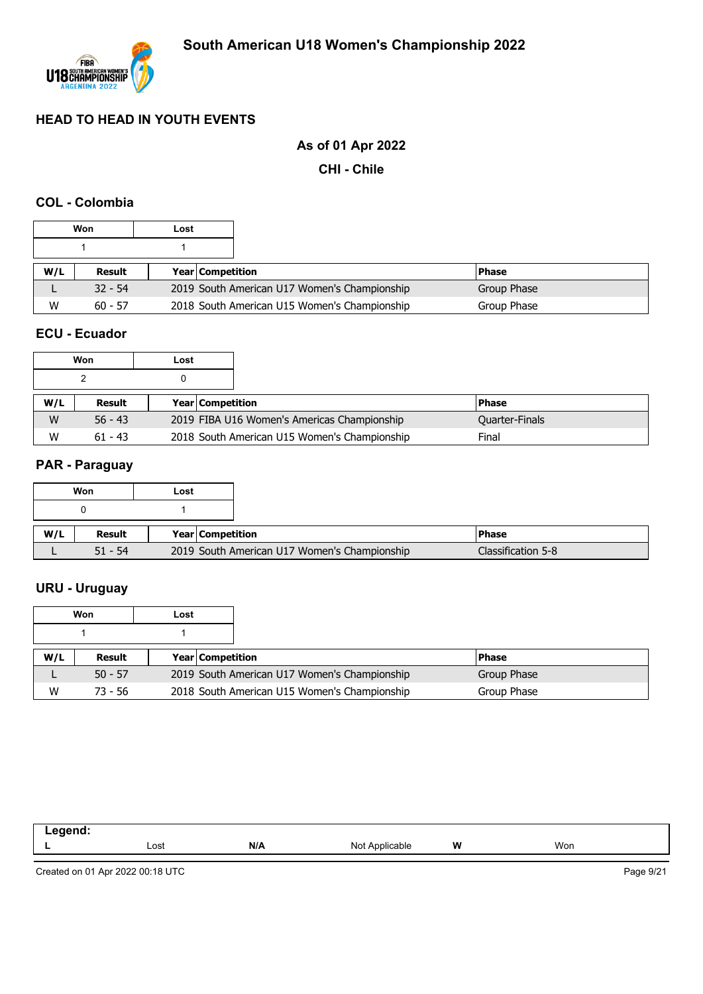

# **As of 01 Apr 2022**

**CHI - Chile**

#### **COL - Colombia**

|     | Won       | Lost |                                              |               |
|-----|-----------|------|----------------------------------------------|---------------|
|     |           |      |                                              |               |
| W/L | Result    |      | <b>Year Competition</b>                      | <b>IPhase</b> |
|     | $32 - 54$ |      | 2019 South American U17 Women's Championship | Group Phase   |
| W   | $60 - 57$ |      | 2018 South American U15 Women's Championship | Group Phase   |

#### **ECU - Ecuador**

|     | Won       | Lost |                         |                                              |  |                       |
|-----|-----------|------|-------------------------|----------------------------------------------|--|-----------------------|
|     |           |      |                         |                                              |  |                       |
| W/L | Result    |      | <b>Year Competition</b> |                                              |  | <b>Phase</b>          |
| W   | $56 - 43$ |      |                         | 2019 FIBA U16 Women's Americas Championship  |  | <b>Quarter-Finals</b> |
| W   | $61 - 43$ |      |                         | 2018 South American U15 Women's Championship |  |                       |

#### **PAR - Paraguay**

|     | Won       | Lost             |                                              |                    |
|-----|-----------|------------------|----------------------------------------------|--------------------|
|     |           |                  |                                              |                    |
| W/L | Result    | Year Competition |                                              | <b>Phase</b>       |
|     | $51 - 54$ |                  | 2019 South American U17 Women's Championship | Classification 5-8 |

# **URU - Uruguay**

|     | Won       | Lost |                         |                                              |             |
|-----|-----------|------|-------------------------|----------------------------------------------|-------------|
|     |           |      |                         |                                              |             |
| W/L | Result    |      | <b>Year Competition</b> |                                              | l Phase     |
|     | $50 - 57$ |      |                         | 2019 South American U17 Women's Championship | Group Phase |
| W   | 73 - 56   |      |                         | 2018 South American U15 Women's Championship | Group Phase |

| -- 3 |      |     |                 |   |     |  |
|------|------|-----|-----------------|---|-----|--|
|      | Lost | N/A | N∩t<br>$\cdots$ | W | Won |  |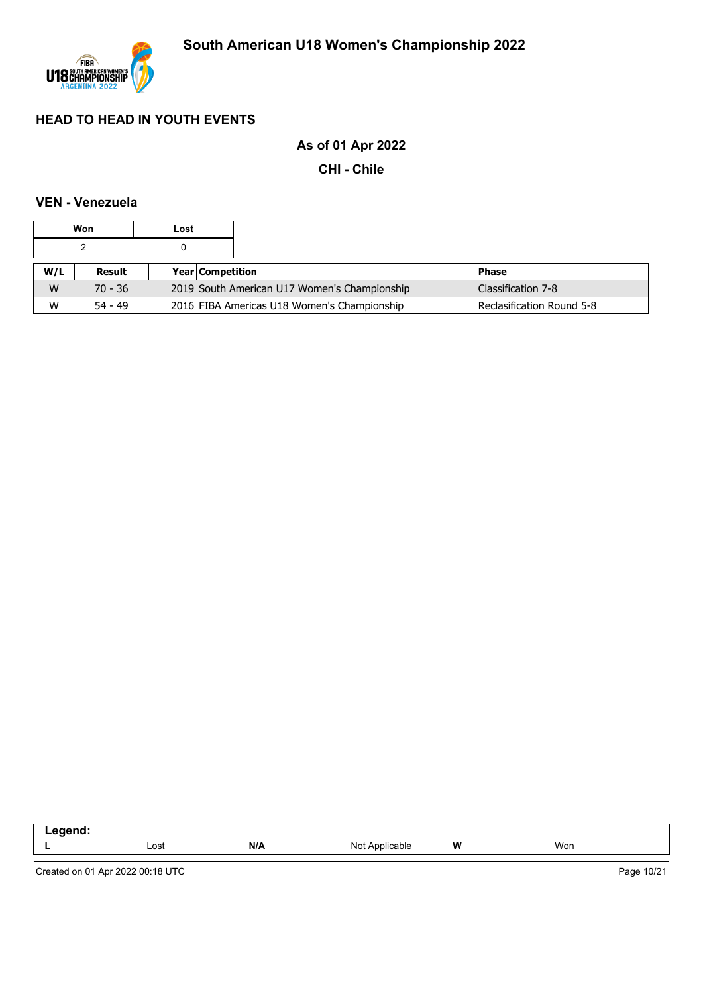

# **As of 01 Apr 2022**

**CHI - Chile**

#### **VEN - Venezuela**

|     | Won       | Lost |                                              |                           |
|-----|-----------|------|----------------------------------------------|---------------------------|
|     |           |      |                                              |                           |
| W/L | Result    |      | <b>Year Competition</b>                      | l Phase                   |
| W   | $70 - 36$ |      | 2019 South American U17 Women's Championship | Classification 7-8        |
| W   | $54 - 49$ |      | 2016 FIBA Americas U18 Women's Championship  | Reclasification Round 5-8 |

| - | Lost | N/A | Not<br>Ann<br>าlicable | W | Won |
|---|------|-----|------------------------|---|-----|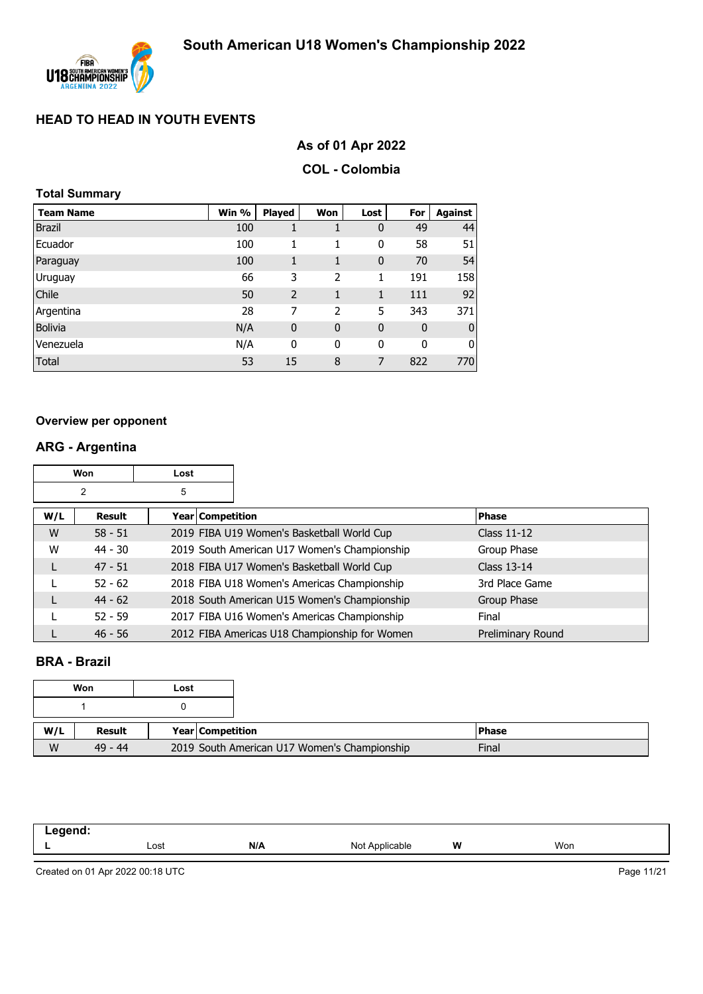

# **As of 01 Apr 2022**

#### **COL - Colombia**

#### **Total Summary**

| <b>Team Name</b> | Win % | Played      | Won         | Lost        | For          | Against        |
|------------------|-------|-------------|-------------|-------------|--------------|----------------|
| <b>Brazil</b>    | 100   |             |             | $\mathbf 0$ | 49           | 44             |
| Ecuador          | 100   | 1           |             | 0           | 58           | 51             |
| Paraguay         | 100   | 1           | 1           | $\mathbf 0$ | 70           | 54             |
| Uruguay          | 66    | 3           | 2           | 1           | 191          | 158            |
| Chile            | 50    | 2           |             | 1           | 111          | 92             |
| Argentina        | 28    | 7           | 2           | 5           | 343          | 371            |
| <b>Bolivia</b>   | N/A   | $\mathbf 0$ | $\mathbf 0$ | $\mathbf 0$ | $\mathbf 0$  | $\overline{0}$ |
| Venezuela        | N/A   | 0           | 0           | 0           | $\mathbf{0}$ | 0              |
| <b>Total</b>     | 53    | 15          | 8           | 7           | 822          | 770            |

#### **Overview per opponent**

# **ARG - Argentina**

|     | <b>Won</b><br>Lost |   |                  |                                               |                    |
|-----|--------------------|---|------------------|-----------------------------------------------|--------------------|
|     | 2                  | 5 |                  |                                               |                    |
| W/L | Result             |   | Year Competition |                                               | <b>Phase</b>       |
| W   | $58 - 51$          |   |                  | 2019 FIBA U19 Women's Basketball World Cup    | <b>Class 11-12</b> |
| W   | $44 - 30$          |   |                  | 2019 South American U17 Women's Championship  | Group Phase        |
| L   | $47 - 51$          |   |                  | 2018 FIBA U17 Women's Basketball World Cup    | Class 13-14        |
|     | $52 - 62$          |   |                  | 2018 FIBA U18 Women's Americas Championship   | 3rd Place Game     |
|     | $44 - 62$          |   |                  | 2018 South American U15 Women's Championship  | Group Phase        |
|     | $52 - 59$          |   |                  | 2017 FIBA U16 Women's Americas Championship   | Final              |
|     | $46 - 56$          |   |                  | 2012 FIBA Americas U18 Championship for Women | Preliminary Round  |

#### **BRA - Brazil**

|     | Won       | Lost             |                                              |
|-----|-----------|------------------|----------------------------------------------|
|     |           |                  |                                              |
| W/L | Result    | Year Competition |                                              |
| W   | $49 - 44$ |                  | 2019 South American U17 Women's Championship |

| .<br>. |      |     |                 |   |     |
|--------|------|-----|-----------------|---|-----|
| -      | Lost | N/A | Not /<br>∵°able | W | Won |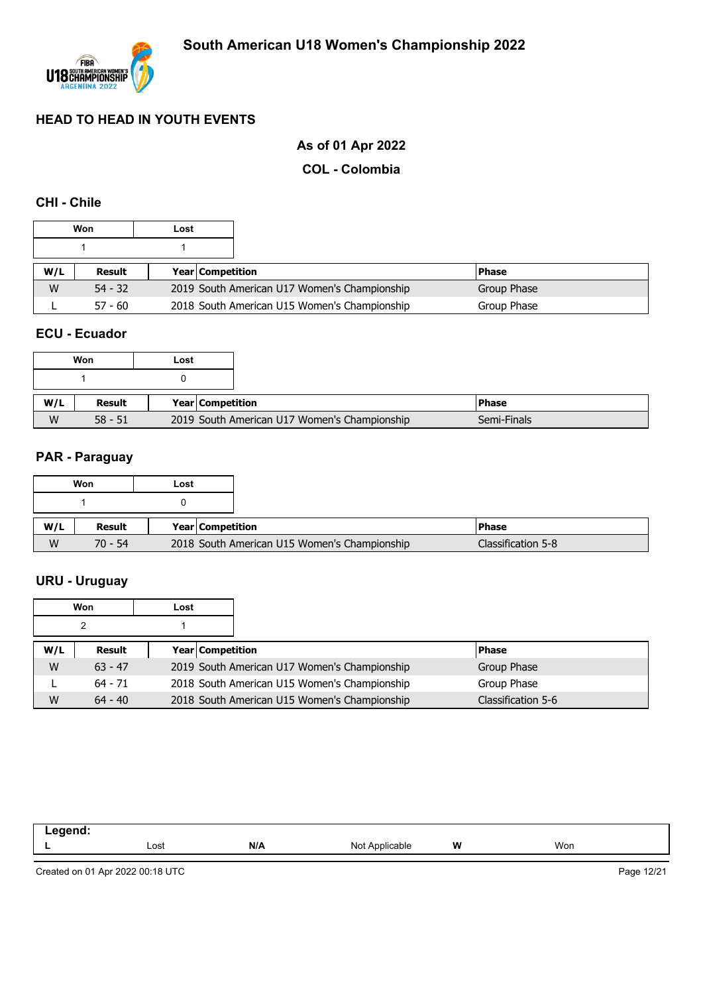

# **As of 01 Apr 2022**

#### **COL - Colombia**

#### **CHI - Chile**

|     | Won       | Lost |                         |                                              |             |              |
|-----|-----------|------|-------------------------|----------------------------------------------|-------------|--------------|
|     |           |      |                         |                                              |             |              |
| W/L | Result    |      | <b>Year Competition</b> |                                              |             | <b>Phase</b> |
| W   | $54 - 32$ |      |                         | 2019 South American U17 Women's Championship | Group Phase |              |
|     | $57 - 60$ |      |                         | 2018 South American U15 Women's Championship |             | Group Phase  |

#### **ECU - Ecuador**

| Won |           | Lost |                  |                                              |         |
|-----|-----------|------|------------------|----------------------------------------------|---------|
|     |           |      |                  |                                              |         |
| W/L | Result    |      | Year Competition |                                              | l Phase |
| W   | $58 - 51$ |      |                  | 2019 South American U17 Women's Championship |         |

#### **PAR - Paraguay**

|     | Won       | Lost |                                              |                    |
|-----|-----------|------|----------------------------------------------|--------------------|
|     |           |      |                                              |                    |
| W/L | Result    |      | Year Competition                             | l Phase            |
| W   | $70 - 54$ |      | 2018 South American U15 Women's Championship | Classification 5-8 |

# **URU - Uruguay**

|     | Won       | Lost |                  |                                              |  |                    |
|-----|-----------|------|------------------|----------------------------------------------|--|--------------------|
|     |           |      |                  |                                              |  |                    |
| W/L | Result    |      | Year Competition |                                              |  | <b>Phase</b>       |
| W   | $63 - 47$ |      |                  | 2019 South American U17 Women's Championship |  | Group Phase        |
|     | $64 - 71$ |      |                  | 2018 South American U15 Women's Championship |  | Group Phase        |
| W   | $64 - 40$ |      |                  | 2018 South American U15 Women's Championship |  | Classification 5-6 |

| . . |      |     |               |   |     |
|-----|------|-----|---------------|---|-----|
|     | Lost | N/A | ∵rable<br>Not | W | Won |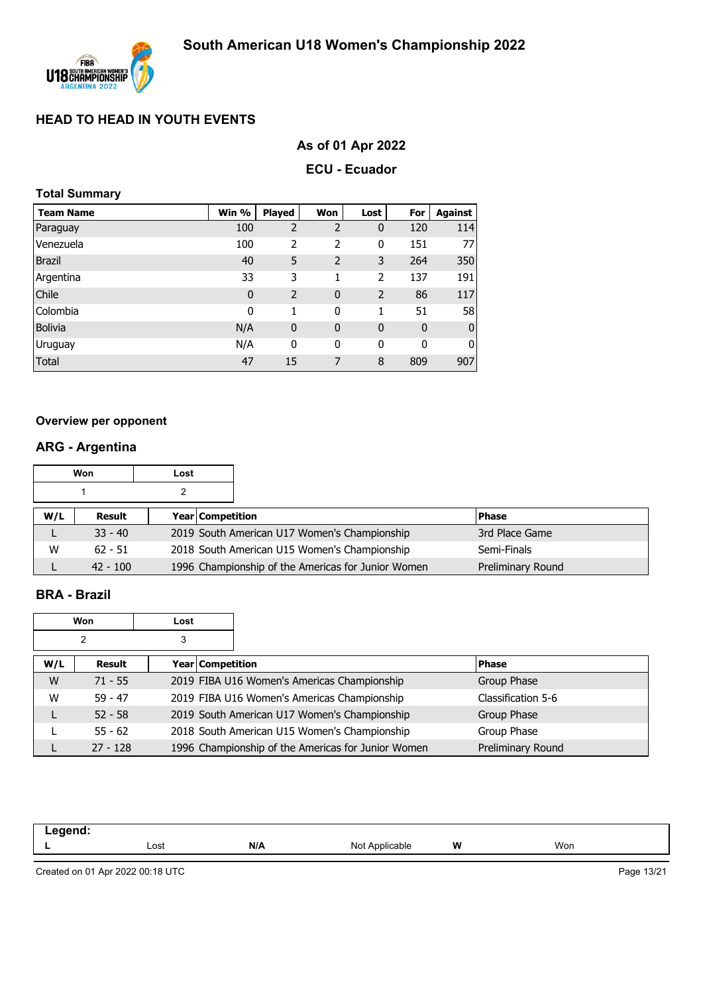

# **As of 01 Apr 2022**

#### **ECU - Ecuador**

#### **Total Summary**

| <b>Team Name</b> | Win %       | <b>Played</b>  | Won            | Lost           | For         | Against      |
|------------------|-------------|----------------|----------------|----------------|-------------|--------------|
| Paraguay         | 100         | 2              | $\overline{2}$ | 0              | 120         | 114          |
| Venezuela        | 100         | 2              | 2              | 0              | 151         | 77           |
| <b>Brazil</b>    | 40          | 5              | $\overline{2}$ | 3              | 264         | 350          |
| Argentina        | 33          | 3              | 1              | 2              | 137         | 191          |
| Chile            | $\mathbf 0$ | $\overline{2}$ | $\mathbf{0}$   | $\overline{2}$ | 86          | 117          |
| Colombia         | 0           | 1              | 0              | 1              | 51          | 58           |
| <b>Bolivia</b>   | N/A         | $\mathbf 0$    | $\mathbf 0$    | 0              | $\mathbf 0$ | $\mathbf{0}$ |
| Uruguay          | N/A         | 0              | 0              | 0              | 0           | 0            |
| <b>Total</b>     | 47          | 15             | 7              | 8              | 809         | 907          |

#### **Overview per opponent**

# **ARG - Argentina**

|     | Won        | Lost |                         |                                                    |  |                   |
|-----|------------|------|-------------------------|----------------------------------------------------|--|-------------------|
|     |            |      |                         |                                                    |  |                   |
| W/L | Result     |      | <b>Year Competition</b> |                                                    |  | <b>Phase</b>      |
|     | $33 - 40$  |      |                         | 2019 South American U17 Women's Championship       |  | 3rd Place Game    |
| w   | $62 - 51$  |      |                         | 2018 South American U15 Women's Championship       |  | Semi-Finals       |
|     | $42 - 100$ |      |                         | 1996 Championship of the Americas for Junior Women |  | Preliminary Round |

#### **BRA - Brazil**

| Won<br>Lost |            |                  |                                                    |                    |
|-------------|------------|------------------|----------------------------------------------------|--------------------|
| 2<br>3      |            |                  |                                                    |                    |
| W/L         | Result     | Year Competition |                                                    | <b>Phase</b>       |
| W           | $71 - 55$  |                  | 2019 FIBA U16 Women's Americas Championship        | Group Phase        |
| W           | $59 - 47$  |                  | 2019 FIBA U16 Women's Americas Championship        | Classification 5-6 |
|             | $52 - 58$  |                  | 2019 South American U17 Women's Championship       | Group Phase        |
|             | $55 - 62$  |                  | 2018 South American U15 Women's Championship       | Group Phase        |
|             | $27 - 128$ |                  | 1996 Championship of the Americas for Junior Women | Preliminary Round  |

| .<br>.<br>____ |              |     |                   |   |     |
|----------------|--------------|-----|-------------------|---|-----|
|                | Lost<br>---- | N/A | Not<br>Applicable | W | Won |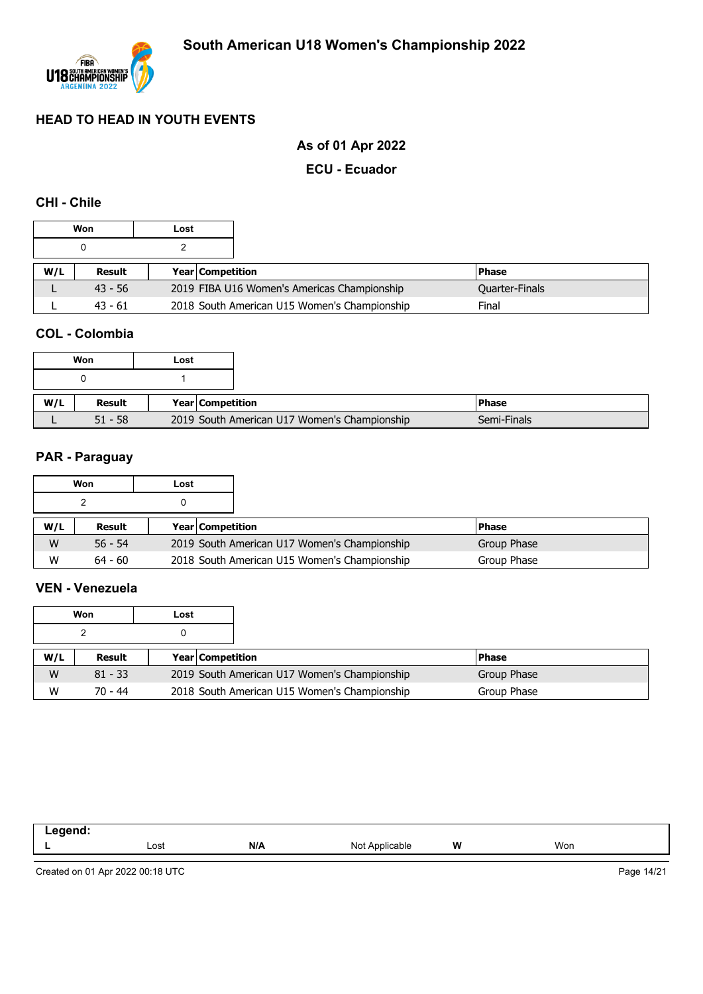

# **As of 01 Apr 2022**

#### **ECU - Ecuador**

#### **CHI - Chile**

|     | Won       | Lost |                         |                                              |                |
|-----|-----------|------|-------------------------|----------------------------------------------|----------------|
|     |           |      |                         |                                              |                |
| W/L | Result    |      | <b>Year Competition</b> |                                              | <b>Phase</b>   |
|     | $43 - 56$ |      |                         | 2019 FIBA U16 Women's Americas Championship  | Quarter-Finals |
|     | $43 - 61$ |      |                         | 2018 South American U15 Women's Championship | Final          |

#### **COL - Colombia**

|     |           | Won | Lost             |                                              |  |
|-----|-----------|-----|------------------|----------------------------------------------|--|
|     |           |     |                  |                                              |  |
| W/L | Result    |     | Year Competition |                                              |  |
|     | $51 - 58$ |     |                  | 2019 South American U17 Women's Championship |  |

#### **PAR - Paraguay**

|     | Won       | Lost |                         |                                              |              |
|-----|-----------|------|-------------------------|----------------------------------------------|--------------|
|     |           |      |                         |                                              |              |
| W/L | Result    |      | <b>Year Competition</b> |                                              | <b>Phase</b> |
| W   | $56 - 54$ |      |                         | 2019 South American U17 Women's Championship | Group Phase  |
| W   | $64 - 60$ |      |                         | 2018 South American U15 Women's Championship | Group Phase  |

#### **VEN - Venezuela**

|     | Won       | Lost |                         |                                              |             |
|-----|-----------|------|-------------------------|----------------------------------------------|-------------|
|     |           |      |                         |                                              |             |
| W/L | Result    |      | <b>Year Competition</b> |                                              | l Phase     |
| W   | $81 - 33$ |      |                         | 2019 South American U17 Women's Championship | Group Phase |
| W   | 70 - 44   |      |                         | 2018 South American U15 Women's Championship | Group Phase |

| -----<br>--<br>-- - |      |     |                                                 |   |     |
|---------------------|------|-----|-------------------------------------------------|---|-----|
|                     | Lost | N/A | NIO <sup>+</sup><br><b>\pplicable</b><br>$\sim$ | W | Won |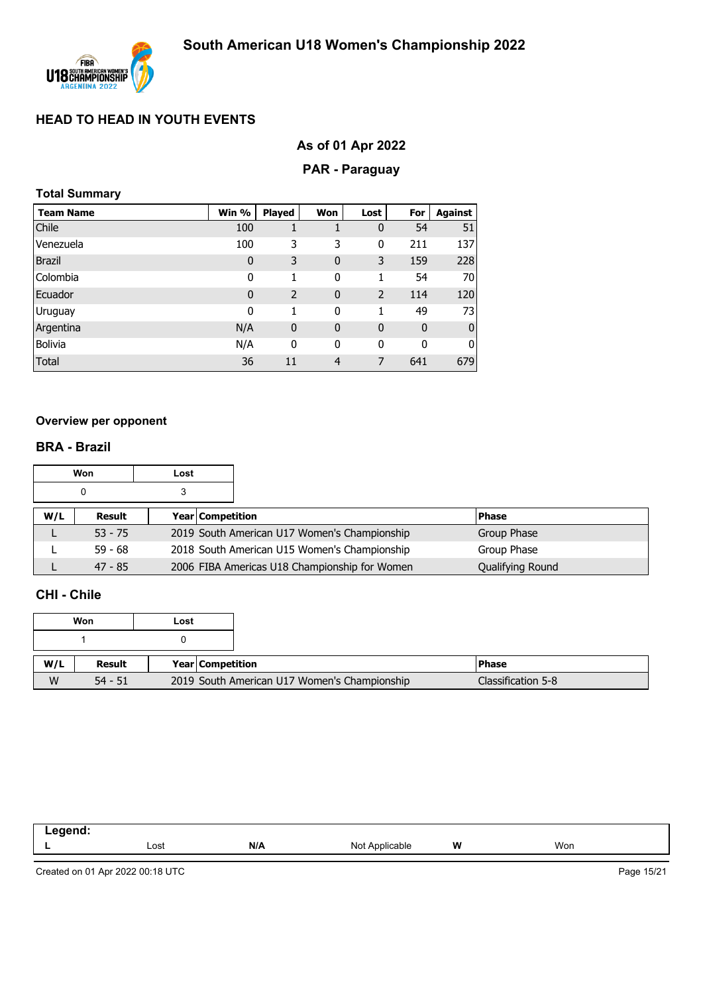

# **As of 01 Apr 2022**

# **PAR - Paraguay**

| <b>Total Summary</b> |  |
|----------------------|--|
|----------------------|--|

| <b>Team Name</b> | Win %        | Played         | Won          | Lost           | For | Against      |
|------------------|--------------|----------------|--------------|----------------|-----|--------------|
| Chile            | 100          |                |              | 0              | 54  | 51           |
| Venezuela        | 100          | 3              | 3            | 0              | 211 | 137          |
| <b>Brazil</b>    | $\mathbf 0$  | 3              | $\mathbf 0$  | 3              | 159 | 228          |
| Colombia         | 0            | 1              | 0            | 1              | 54  | 70           |
| Ecuador          | $\mathbf{0}$ | $\overline{2}$ | $\mathbf{0}$ | $\overline{2}$ | 114 | 120          |
| Uruguay          | 0            | 1              | 0            | 1              | 49  | 73           |
| Argentina        | N/A          | $\mathbf 0$    | $\mathbf{0}$ | $\mathbf 0$    | 0   | $\mathbf{0}$ |
| Bolivia          | N/A          | 0              | 0            | 0              | 0   | 0            |
| Total            | 36           | 11             | 4            | 7              | 641 | 679          |

#### **Overview per opponent**

#### **BRA - Brazil**

|     | Won       | Lost             |                                               |                  |
|-----|-----------|------------------|-----------------------------------------------|------------------|
|     | 0         |                  |                                               |                  |
| W/L | Result    | Year Competition |                                               | <b>Phase</b>     |
|     | $53 - 75$ |                  | 2019 South American U17 Women's Championship  | Group Phase      |
|     | $59 - 68$ |                  | 2018 South American U15 Women's Championship  | Group Phase      |
|     | $47 - 85$ |                  | 2006 FIBA Americas U18 Championship for Women | Qualifying Round |

#### **CHI - Chile**

| Won |           | Lost |                                              |
|-----|-----------|------|----------------------------------------------|
|     |           |      |                                              |
| W/L | Result    |      | Year Competition                             |
| W   | $54 - 51$ |      | 2019 South American U17 Women's Championship |

| - - - - - - -<br>- - - |      |     |                                         |   |     |
|------------------------|------|-----|-----------------------------------------|---|-----|
|                        | Lost | N/A | N <sub>Io</sub><br>$n$ nnliach<br>11011 | W | Won |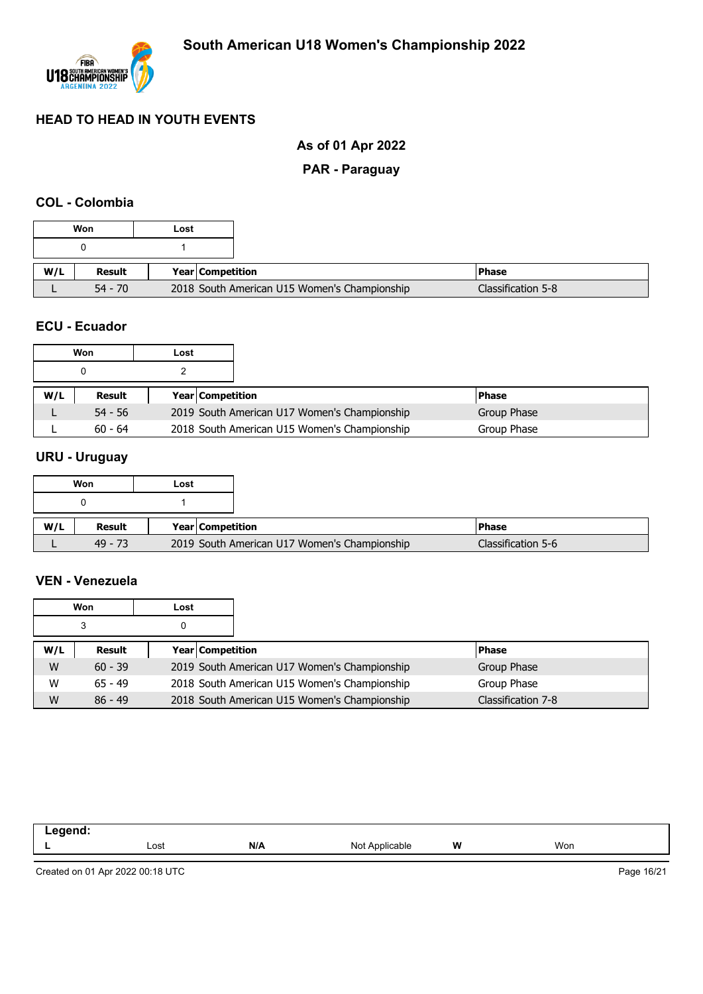

# **As of 01 Apr 2022**

# **PAR - Paraguay**

#### **COL - Colombia**

|     | Won           | Lost |                                              |                    |
|-----|---------------|------|----------------------------------------------|--------------------|
|     |               |      |                                              |                    |
| W/L | <b>Result</b> |      | Year Competition                             | <b>Phase</b>       |
|     | $54 - 70$     |      | 2018 South American U15 Women's Championship | Classification 5-8 |

#### **ECU - Ecuador**

|     | Won       | Lost |                         |                                              |             |
|-----|-----------|------|-------------------------|----------------------------------------------|-------------|
|     |           |      |                         |                                              |             |
| W/L | Result    |      | <b>Year Competition</b> |                                              | l Phase     |
|     | $54 - 56$ |      |                         | 2019 South American U17 Women's Championship | Group Phase |
|     | $60 - 64$ |      |                         | 2018 South American U15 Women's Championship | Group Phase |

#### **URU - Uruguay**

|     | Won       | Lost |                                              |  |
|-----|-----------|------|----------------------------------------------|--|
|     |           |      |                                              |  |
| W/L | Result    |      | <b>Year Competition</b>                      |  |
|     | $49 - 73$ |      | 2019 South American U17 Women's Championship |  |

#### **VEN - Venezuela**

|     | Won       | Lost |                  |                                              |                    |
|-----|-----------|------|------------------|----------------------------------------------|--------------------|
|     | 3         |      |                  |                                              |                    |
| W/L | Result    |      | Year Competition |                                              | <b>Phase</b>       |
| W   | $60 - 39$ |      |                  | 2019 South American U17 Women's Championship | Group Phase        |
| W   | $65 - 49$ |      |                  | 2018 South American U15 Women's Championship | Group Phase        |
| W   | $86 - 49$ |      |                  | 2018 South American U15 Women's Championship | Classification 7-8 |

| .<br>--<br>-- - |      |     |                     |   |     |
|-----------------|------|-----|---------------------|---|-----|
|                 | Lost | N/A | Not A<br>Applicable | W | Won |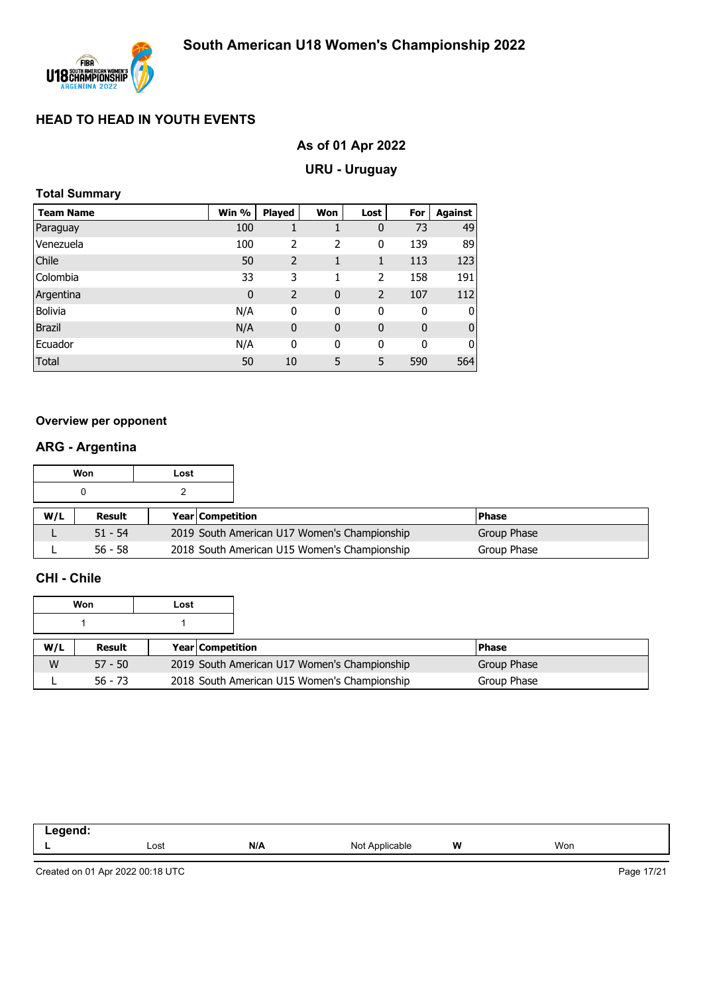

# **As of 01 Apr 2022**

# **URU - Uruguay**

|  | <b>Total Summary</b> |
|--|----------------------|
|--|----------------------|

| <b>Team Name</b> | Win %       | <b>Played</b>  | Won         | Lost           | For | Against      |
|------------------|-------------|----------------|-------------|----------------|-----|--------------|
| Paraguay         | 100         |                |             | 0              | 73  | 49           |
| Venezuela        | 100         | 2              | 2           | 0              | 139 | 89           |
| Chile            | 50          | $\overline{2}$ | 1           | 1              | 113 | 123          |
| Colombia         | 33          | 3              | 1           | $\overline{2}$ | 158 | 191          |
| Argentina        | $\mathbf 0$ | 2              | $\mathbf 0$ | $\overline{2}$ | 107 | 112          |
| <b>Bolivia</b>   | N/A         | 0              | 0           | $\mathbf 0$    | 0   | 0            |
| <b>Brazil</b>    | N/A         | $\mathbf 0$    | $\mathbf 0$ | 0              | 0   | $\mathbf{0}$ |
| Ecuador          | N/A         | 0              | 0           | $\mathbf 0$    | 0   | 0            |
| Total            | 50          | 10             | 5           | 5              | 590 | 564          |

#### **Overview per opponent**

# **ARG - Argentina**

|     | Won       | Lost |                    |                                              |              |
|-----|-----------|------|--------------------|----------------------------------------------|--------------|
|     |           |      |                    |                                              |              |
| W/L | Result    |      | Year   Competition |                                              | <b>Phase</b> |
|     | $51 - 54$ |      |                    | 2019 South American U17 Women's Championship | Group Phase  |
|     | $56 - 58$ |      |                    | 2018 South American U15 Women's Championship | Group Phase  |

#### **CHI - Chile**

|     | Won       | Lost |                         |                                              |  |             |
|-----|-----------|------|-------------------------|----------------------------------------------|--|-------------|
|     |           |      |                         |                                              |  |             |
| W/L | Result    |      | <b>Year Competition</b> |                                              |  | l Phase     |
| W   | $57 - 50$ |      |                         | 2019 South American U17 Women's Championship |  | Group Phase |
|     | $56 - 73$ |      |                         | 2018 South American U15 Women's Championship |  | Group Phase |

| _eaend ·<br>--<br>$- - -$ |      |     |                |   |     |
|---------------------------|------|-----|----------------|---|-----|
|                           | Lost | N/A | Not Applicable | w | Won |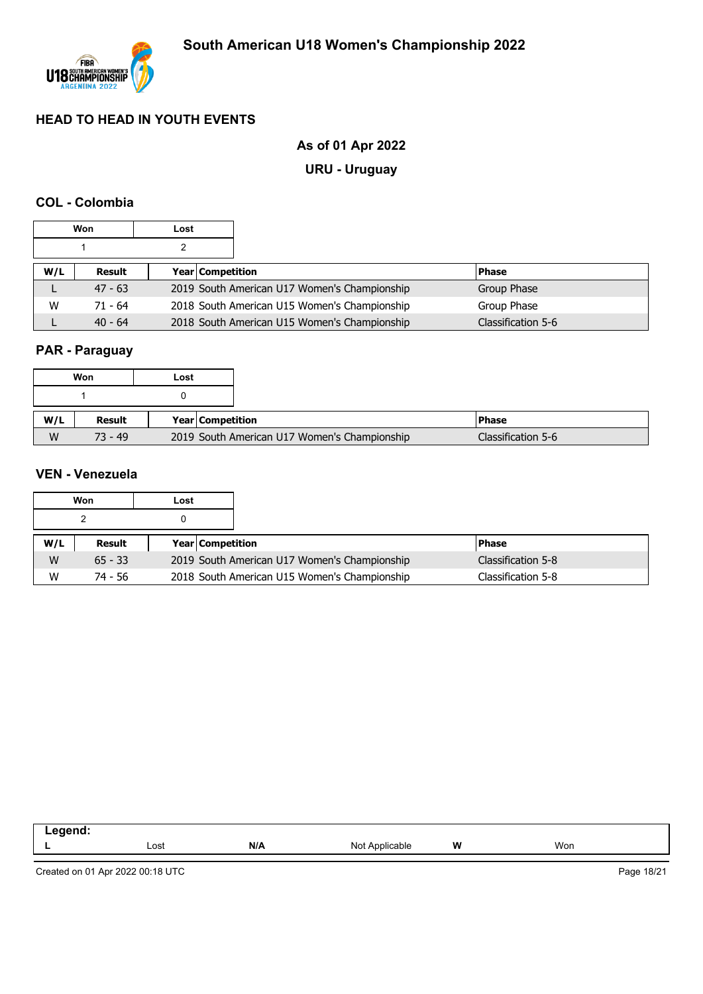

# **As of 01 Apr 2022**

# **URU - Uruguay**

#### **COL - Colombia**

|     | Won       | Lost |                                              |                    |
|-----|-----------|------|----------------------------------------------|--------------------|
|     |           |      |                                              |                    |
| W/L | Result    |      | Year Competition                             | <b>Phase</b>       |
|     | $47 - 63$ |      | 2019 South American U17 Women's Championship | Group Phase        |
| W   | $71 - 64$ |      | 2018 South American U15 Women's Championship | Group Phase        |
|     | $40 - 64$ |      | 2018 South American U15 Women's Championship | Classification 5-6 |

# **PAR - Paraguay**

|     | Won       | Lost |                  |                                              |                    |
|-----|-----------|------|------------------|----------------------------------------------|--------------------|
|     |           |      |                  |                                              |                    |
| W/L | Result    |      | Year Competition |                                              | l Phase            |
| W   | $73 - 49$ |      |                  | 2019 South American U17 Women's Championship | Classification 5-6 |

#### **VEN - Venezuela**

|     | Won       | Lost |                         |                                              |                    |
|-----|-----------|------|-------------------------|----------------------------------------------|--------------------|
|     |           |      |                         |                                              |                    |
| W/L | Result    |      | <b>Year Competition</b> |                                              | <b>Phase</b>       |
| W   | $65 - 33$ |      |                         | 2019 South American U17 Women's Championship | Classification 5-8 |
| W   | 74 - 56   |      |                         | 2018 South American U15 Women's Championship | Classification 5-8 |

| . . |      |     |                                           |   |     |  |
|-----|------|-----|-------------------------------------------|---|-----|--|
|     | Lost | N/A | Applicable<br>ורוח<br>$\cdot$<br>$     -$ | W | Won |  |
|     |      |     |                                           |   |     |  |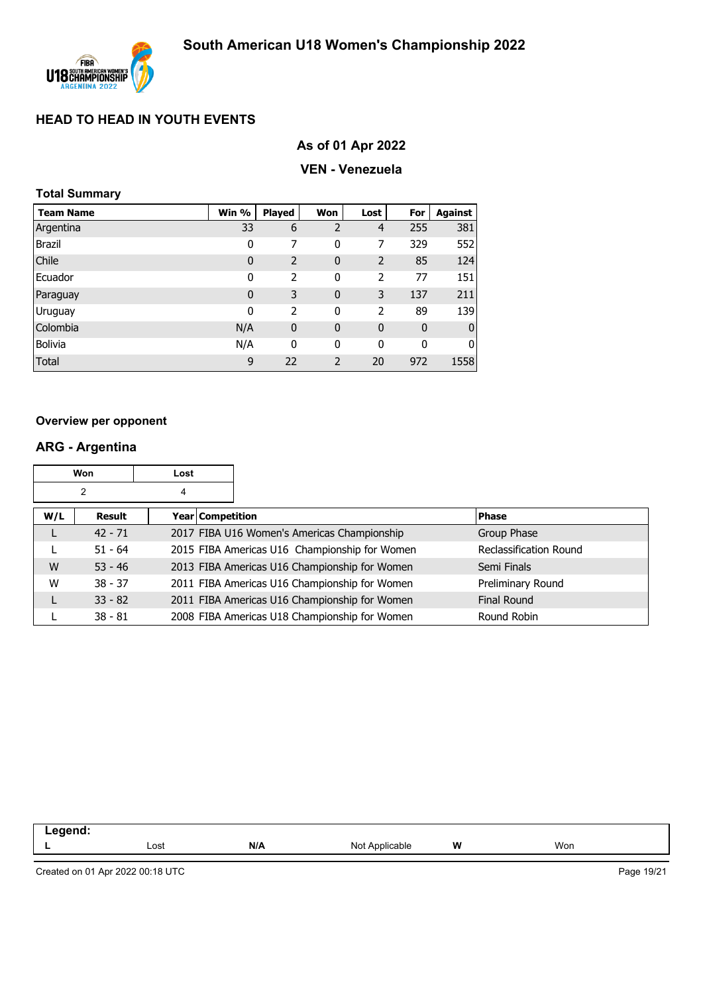

# **As of 01 Apr 2022**

#### **VEN - Venezuela**

|  | Total Summary |  |
|--|---------------|--|
|  |               |  |

| <b>Team Name</b> | Win %        | <b>Played</b> | Won            | Lost        | For         | Against        |
|------------------|--------------|---------------|----------------|-------------|-------------|----------------|
| Argentina        | 33           | 6             | $\overline{2}$ | 4           | 255         | 381            |
| <b>Brazil</b>    | 0            | 7             | 0              | 7           | 329         | 552            |
| Chile            | $\mathbf 0$  | 2             | 0              | 2           | 85          | 124            |
| Ecuador          | 0            | 2             | 0              | 2           | 77          | 151            |
| Paraguay         | $\mathbf{0}$ | 3             | $\overline{0}$ | 3           | 137         | 211            |
| Uruguay          | 0            | 2             | $\mathbf 0$    | 2           | 89          | 139            |
| Colombia         | N/A          | $\mathbf 0$   | $\overline{0}$ | $\mathbf 0$ | $\mathbf 0$ | $\overline{0}$ |
| <b>Bolivia</b>   | N/A          | 0             | 0              | 0           | 0           | $\overline{0}$ |
| Total            | 9            | 22            | $\overline{2}$ | 20          | 972         | 1558           |

#### **Overview per opponent**

# **ARG - Argentina**

|     | Won       | Lost             |                                               |                               |
|-----|-----------|------------------|-----------------------------------------------|-------------------------------|
|     | 2         | 4                |                                               |                               |
| W/L | Result    | Year Competition |                                               | <b>Phase</b>                  |
|     | $42 - 71$ |                  | 2017 FIBA U16 Women's Americas Championship   | Group Phase                   |
|     | $51 - 64$ |                  | 2015 FIBA Americas U16 Championship for Women | <b>Reclassification Round</b> |
| W   | $53 - 46$ |                  | 2013 FIBA Americas U16 Championship for Women | Semi Finals                   |
| W   | $38 - 37$ |                  | 2011 FIBA Americas U16 Championship for Women | Preliminary Round             |
|     | $33 - 82$ |                  | 2011 FIBA Americas U16 Championship for Women | Final Round                   |
|     | $38 - 81$ |                  | 2008 FIBA Americas U18 Championship for Women | Round Robin                   |

| -- 3 |      |     |                                     |   |     |  |
|------|------|-----|-------------------------------------|---|-----|--|
|      | Lost | N/A | able<br>N <sub>Ic</sub><br>$\cdots$ | W | Won |  |
|      |      |     |                                     |   |     |  |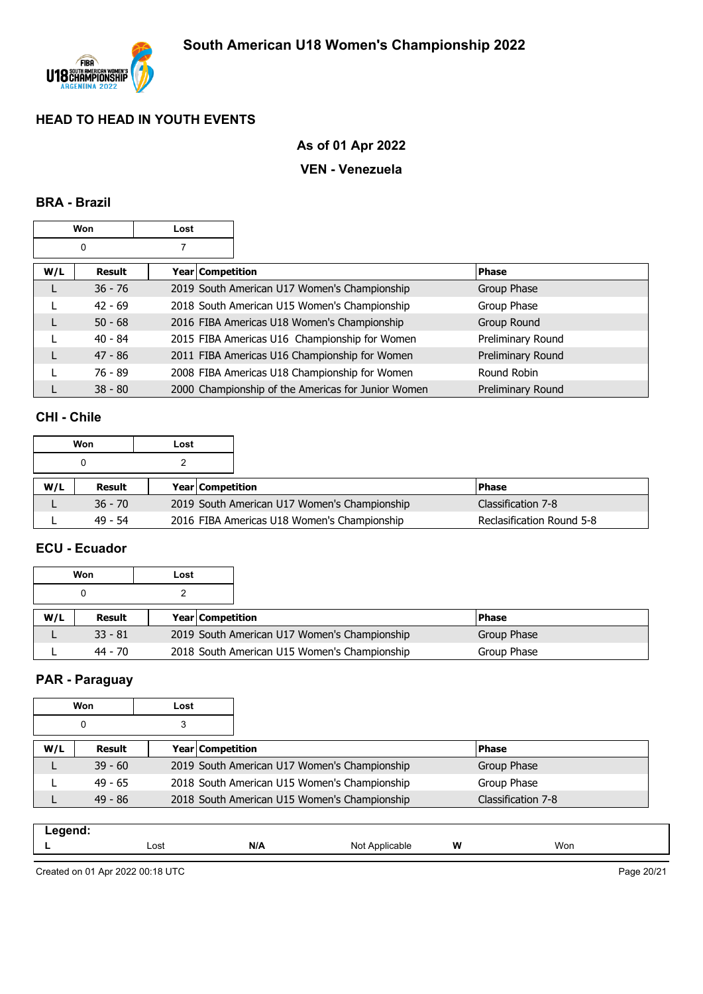

# **As of 01 Apr 2022**

#### **VEN - Venezuela**

#### **BRA - Brazil**

|     | Won       | Lost |                                                    |                   |
|-----|-----------|------|----------------------------------------------------|-------------------|
|     | 0         |      |                                                    |                   |
| W/L | Result    |      | Year   Competition                                 | <b>Phase</b>      |
|     | $36 - 76$ |      | 2019 South American U17 Women's Championship       | Group Phase       |
|     | $42 - 69$ |      | 2018 South American U15 Women's Championship       | Group Phase       |
|     | $50 - 68$ |      | 2016 FIBA Americas U18 Women's Championship        | Group Round       |
|     | $40 - 84$ |      | 2015 FIBA Americas U16 Championship for Women      | Preliminary Round |
|     | $47 - 86$ |      | 2011 FIBA Americas U16 Championship for Women      | Preliminary Round |
|     | 76 - 89   |      | 2008 FIBA Americas U18 Championship for Women      | Round Robin       |
|     | $38 - 80$ |      | 2000 Championship of the Americas for Junior Women | Preliminary Round |

#### **CHI - Chile**

|     | Won       | Lost |                         |                                              |                           |
|-----|-----------|------|-------------------------|----------------------------------------------|---------------------------|
|     |           |      |                         |                                              |                           |
| W/L | Result    |      | <b>Year Competition</b> |                                              | <b>Phase</b>              |
|     | $36 - 70$ |      |                         | 2019 South American U17 Women's Championship | Classification 7-8        |
|     | $49 - 54$ |      |                         | 2016 FIBA Americas U18 Women's Championship  | Reclasification Round 5-8 |

#### **ECU - Ecuador**

|     | Won       | Lost                    |                                              |             |
|-----|-----------|-------------------------|----------------------------------------------|-------------|
|     |           |                         |                                              |             |
| W/L | Result    | <b>Year Competition</b> |                                              | l Phase     |
|     | $33 - 81$ |                         | 2019 South American U17 Women's Championship | Group Phase |
|     | 44 - 70   |                         | 2018 South American U15 Women's Championship | Group Phase |

#### **PAR - Paraguay**

|     | Won       | Lost |                                              |                    |
|-----|-----------|------|----------------------------------------------|--------------------|
|     | 0         | 3    |                                              |                    |
| W/L | Result    |      | <b>Year Competition</b>                      | <b>Phase</b>       |
|     | $39 - 60$ |      | 2019 South American U17 Women's Championship | Group Phase        |
|     | $49 - 65$ |      | 2018 South American U15 Women's Championship | Group Phase        |
|     | $49 - 86$ |      | 2018 South American U15 Women's Championship | Classification 7-8 |

| .<br>--<br>. |      |     |                                          |   |     |  |
|--------------|------|-----|------------------------------------------|---|-----|--|
|              | Lost | N/A | Not<br>$\mathbf{A}$ r<br>onlica.<br>able | W | Won |  |